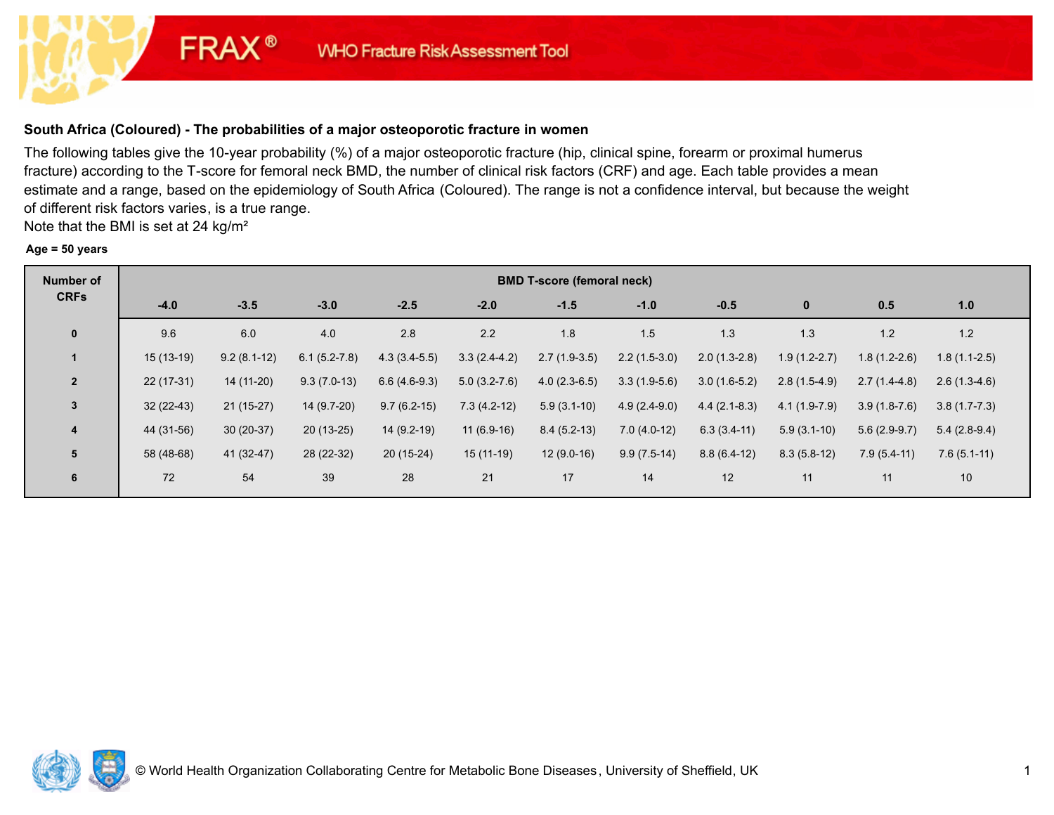# **South Africa (Coloured) - The probabilities of a major osteoporotic fracture in women**

**FRAX®** 

The following tables give the 10-year probability (%) of a major osteoporotic fracture (hip, clinical spine, forearm or proximal humerus fracture) according to the T-score for femoral neck BMD, the number of clinical risk factors (CRF) and age. Each table provides a mean estimate and a range, based on the epidemiology of South Africa (Coloured). The range is not a confidence interval, but because the weight of different risk factors varies, is a true range.

Note that the BMI is set at 24 kg/m²

#### **Age = 50 years**

| <b>Number of</b> | <b>BMD T-score (femoral neck)</b> |               |                  |                |                |                |                |                |                |                |                |  |
|------------------|-----------------------------------|---------------|------------------|----------------|----------------|----------------|----------------|----------------|----------------|----------------|----------------|--|
| <b>CRFs</b>      | $-4.0$                            | $-3.5$        | $-3.0$           | $-2.5$         | $-2.0$         | $-1.5$         | $-1.0$         | $-0.5$         | $\mathbf{0}$   | 0.5            | 1.0            |  |
| $\mathbf{0}$     | 9.6                               | 6.0           | 4.0              | 2.8            | 2.2            | 1.8            | 1.5            | 1.3            | 1.3            | 1.2            | 1.2            |  |
| $\mathbf 1$      | $15(13-19)$                       | $9.2(8.1-12)$ | $6.1(5.2 - 7.8)$ | $4.3(3.4-5.5)$ | $3.3(2.4-4.2)$ | $2.7(1.9-3.5)$ | $2.2(1.5-3.0)$ | $2.0(1.3-2.8)$ | $1.9(1.2-2.7)$ | $1.8(1.2-2.6)$ | $1.8(1.1-2.5)$ |  |
| $\overline{2}$   | $22(17-31)$                       | 14 (11-20)    | $9.3(7.0-13)$    | $6.6(4.6-9.3)$ | $5.0(3.2-7.6)$ | $4.0(2.3-6.5)$ | $3.3(1.9-5.6)$ | $3.0(1.6-5.2)$ | $2.8(1.5-4.9)$ | $2.7(1.4-4.8)$ | $2.6(1.3-4.6)$ |  |
| 3                | $32(22-43)$                       | $21(15-27)$   | 14 (9.7-20)      | $9.7(6.2-15)$  | $7.3(4.2-12)$  | $5.9(3.1-10)$  | $4.9(2.4-9.0)$ | $4.4(2.1-8.3)$ | $4.1(1.9-7.9)$ | $3.9(1.8-7.6)$ | $3.8(1.7-7.3)$ |  |
| 4                | 44 (31-56)                        | $30(20-37)$   | $20(13-25)$      | 14 (9.2-19)    | $11(6.9-16)$   | $8.4(5.2-13)$  | $7.0(4.0-12)$  | $6.3(3.4-11)$  | $5.9(3.1-10)$  | $5.6(2.9-9.7)$ | $5.4(2.8-9.4)$ |  |
| 5                | 58 (48-68)                        | 41 (32-47)    | 28 (22-32)       | $20(15-24)$    | $15(11-19)$    | $12(9.0-16)$   | $9.9(7.5-14)$  | $8.8(6.4-12)$  | $8.3(5.8-12)$  | $7.9(5.4-11)$  | $7.6(5.1-11)$  |  |
| 6                | 72                                | 54            | 39               | 28             | 21             | 17             | 14             | 12             | 11             | 11             | 10             |  |

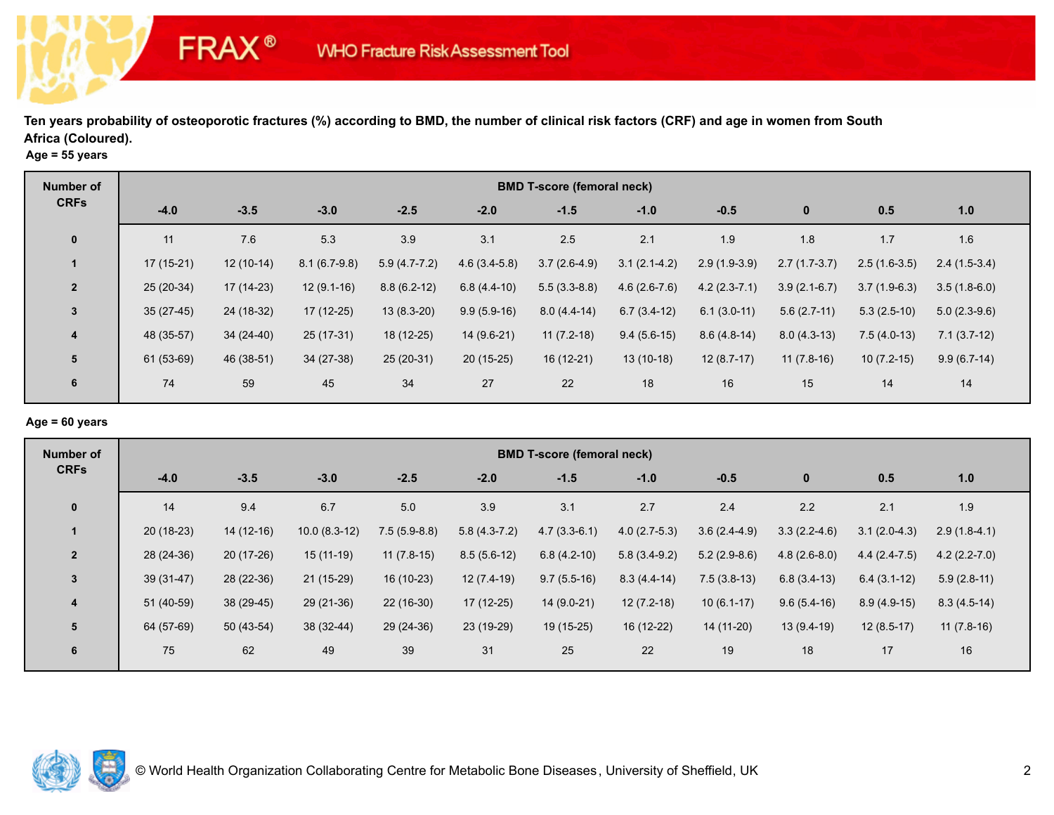|  |  | Age = $55$ years |
|--|--|------------------|
|--|--|------------------|

**FRAX®** 

| Number of      | <b>BMD T-score (femoral neck)</b> |             |                |                |                |                |                |                |                |                |                |  |
|----------------|-----------------------------------|-------------|----------------|----------------|----------------|----------------|----------------|----------------|----------------|----------------|----------------|--|
| <b>CRFs</b>    | $-4.0$                            | $-3.5$      | $-3.0$         | $-2.5$         | $-2.0$         | $-1.5$         | $-1.0$         | $-0.5$         | $\bf{0}$       | 0.5            | 1.0            |  |
| $\mathbf 0$    | 11                                | 7.6         | 5.3            | 3.9            | 3.1            | 2.5            | 2.1            | 1.9            | 1.8            | 1.7            | 1.6            |  |
|                | $17(15-21)$                       | $12(10-14)$ | $8.1(6.7-9.8)$ | $5.9(4.7-7.2)$ | $4.6(3.4-5.8)$ | $3.7(2.6-4.9)$ | $3.1(2.1-4.2)$ | $2.9(1.9-3.9)$ | $2.7(1.7-3.7)$ | $2.5(1.6-3.5)$ | $2.4(1.5-3.4)$ |  |
| $\overline{2}$ | $25(20-34)$                       | $17(14-23)$ | $12(9.1-16)$   | $8.8(6.2-12)$  | $6.8(4.4-10)$  | $5.5(3.3-8.8)$ | $4.6(2.6-7.6)$ | $4.2(2.3-7.1)$ | $3.9(2.1-6.7)$ | $3.7(1.9-6.3)$ | $3.5(1.8-6.0)$ |  |
| $\mathbf{3}$   | $35(27-45)$                       | 24 (18-32)  | $17(12-25)$    | $13(8.3-20)$   | $9.9(5.9-16)$  | $8.0(4.4-14)$  | $6.7(3.4-12)$  | $6.1(3.0-11)$  | $5.6(2.7-11)$  | $5.3(2.5-10)$  | $5.0(2.3-9.6)$ |  |
| $\overline{4}$ | 48 (35-57)                        | $34(24-40)$ | 25 (17-31)     | 18 (12-25)     | 14 (9.6-21)    | $11(7.2-18)$   | $9.4(5.6-15)$  | $8.6(4.8-14)$  | $8.0(4.3-13)$  | $7.5(4.0-13)$  | $7.1(3.7-12)$  |  |
| 5              | 61 (53-69)                        | 46 (38-51)  | $34(27-38)$    | 25 (20-31)     | $20(15-25)$    | $16(12-21)$    | $13(10-18)$    | $12(8.7-17)$   | $11(7.8-16)$   | $10(7.2-15)$   | $9.9(6.7-14)$  |  |
| 6              | 74                                | 59          | 45             | 34             | 27             | 22             | 18             | 16             | 15             | 14             | 14             |  |

### **Age = 60 years**

| Number of               | <b>BMD T-score (femoral neck)</b> |             |                |                |                |                |                |                |                |                |                |  |
|-------------------------|-----------------------------------|-------------|----------------|----------------|----------------|----------------|----------------|----------------|----------------|----------------|----------------|--|
| <b>CRFs</b>             | $-4.0$                            | $-3.5$      | $-3.0$         | $-2.5$         | $-2.0$         | $-1.5$         | $-1.0$         | $-0.5$         | $\bf{0}$       | 0.5            | 1.0            |  |
| $\mathbf 0$             | 14                                | 9.4         | 6.7            | 5.0            | 3.9            | 3.1            | 2.7            | 2.4            | 2.2            | 2.1            | 1.9            |  |
| $\mathbf 1$             | $20(18-23)$                       | $14(12-16)$ | $10.0(8.3-12)$ | $7.5(5.9-8.8)$ | $5.8(4.3-7.2)$ | $4.7(3.3-6.1)$ | $4.0(2.7-5.3)$ | $3.6(2.4-4.9)$ | $3.3(2.2-4.6)$ | $3.1(2.0-4.3)$ | $2.9(1.8-4.1)$ |  |
| $\overline{2}$          | 28 (24-36)                        | 20 (17-26)  | $15(11-19)$    | $11(7.8-15)$   | $8.5(5.6-12)$  | $6.8(4.2-10)$  | $5.8(3.4-9.2)$ | $5.2(2.9-8.6)$ | $4.8(2.6-8.0)$ | $4.4(2.4-7.5)$ | $4.2(2.2-7.0)$ |  |
| 3                       | $39(31-47)$                       | 28 (22-36)  | $21(15-29)$    | 16 (10-23)     | $12(7.4-19)$   | $9.7(5.5-16)$  | $8.3(4.4-14)$  | $7.5(3.8-13)$  | $6.8(3.4-13)$  | $6.4(3.1-12)$  | $5.9(2.8-11)$  |  |
| $\overline{\mathbf{4}}$ | 51 (40-59)                        | 38 (29-45)  | $29(21-36)$    | $22(16-30)$    | 17 (12-25)     | $14(9.0-21)$   | $12(7.2-18)$   | $10(6.1-17)$   | $9.6(5.4-16)$  | $8.9(4.9-15)$  | $8.3(4.5-14)$  |  |
| 5                       | 64 (57-69)                        | $50(43-54)$ | 38 (32-44)     | 29 (24-36)     | 23 (19-29)     | $19(15-25)$    | 16 (12-22)     | 14 (11-20)     | $13(9.4-19)$   | $12(8.5-17)$   | $11(7.8-16)$   |  |
| 6                       | 75                                | 62          | 49             | 39             | 31             | 25             | 22             | 19             | 18             | 17             | 16             |  |

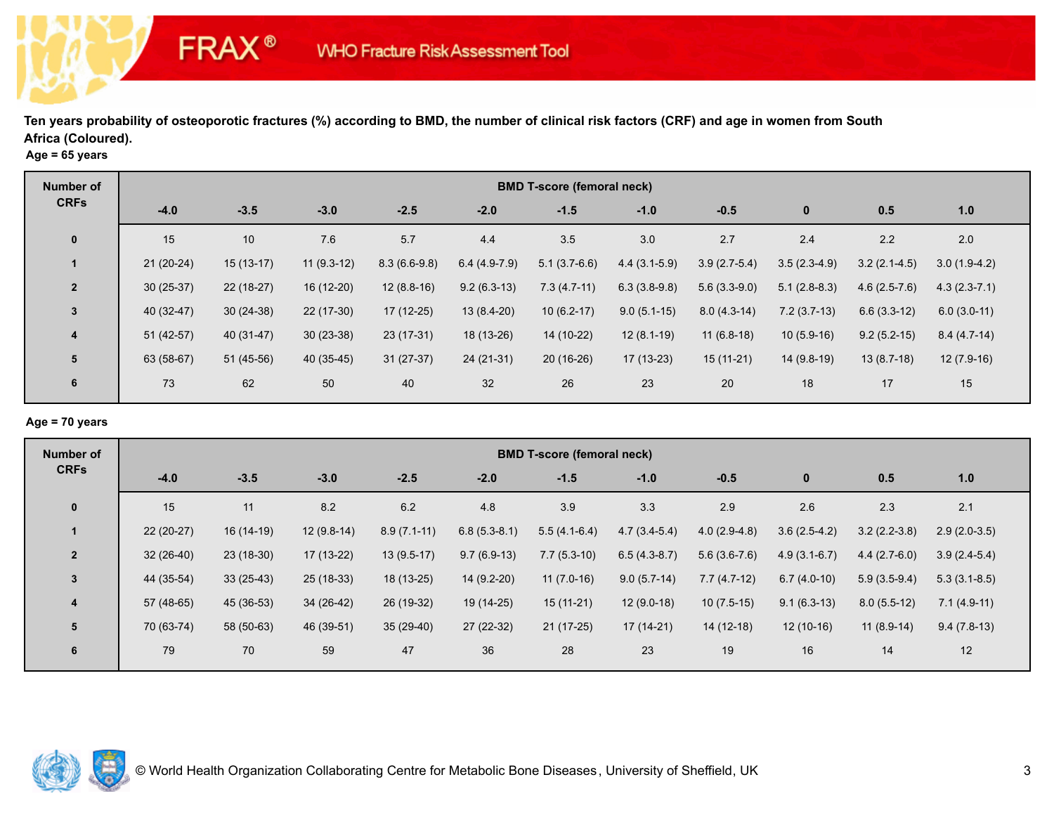|  |  | Age = $65$ years |
|--|--|------------------|
|--|--|------------------|

**FRAX®** 

| Number of      | <b>BMD T-score (femoral neck)</b> |             |              |                |                |                |                |                |                |                |                  |  |
|----------------|-----------------------------------|-------------|--------------|----------------|----------------|----------------|----------------|----------------|----------------|----------------|------------------|--|
| <b>CRFs</b>    | $-4.0$                            | $-3.5$      | $-3.0$       | $-2.5$         | $-2.0$         | $-1.5$         | $-1.0$         | $-0.5$         | $\mathbf 0$    | 0.5            | 1.0              |  |
| $\mathbf 0$    | 15                                | 10          | 7.6          | 5.7            | 4.4            | 3.5            | 3.0            | 2.7            | 2.4            | 2.2            | 2.0              |  |
|                | $21(20-24)$                       | $15(13-17)$ | $11(9.3-12)$ | $8.3(6.6-9.8)$ | $6.4(4.9-7.9)$ | $5.1(3.7-6.6)$ | $4.4(3.1-5.9)$ | $3.9(2.7-5.4)$ | $3.5(2.3-4.9)$ | $3.2(2.1-4.5)$ | $3.0(1.9-4.2)$   |  |
| $\overline{2}$ | $30(25-37)$                       | $22(18-27)$ | 16 (12-20)   | $12(8.8-16)$   | $9.2(6.3-13)$  | $7.3(4.7-11)$  | $6.3(3.8-9.8)$ | $5.6(3.3-9.0)$ | $5.1(2.8-8.3)$ | $4.6(2.5-7.6)$ | $4.3(2.3 - 7.1)$ |  |
| $\mathbf{3}$   | 40 (32-47)                        | $30(24-38)$ | 22 (17-30)   | $17(12-25)$    | 13 (8.4-20)    | $10(6.2-17)$   | $9.0(5.1-15)$  | $8.0(4.3-14)$  | $7.2(3.7-13)$  | $6.6(3.3-12)$  | $6.0(3.0-11)$    |  |
| $\overline{4}$ | $51(42-57)$                       | 40 (31-47)  | $30(23-38)$  | $23(17-31)$    | 18 (13-26)     | 14 (10-22)     | $12(8.1-19)$   | $11(6.8-18)$   | $10(5.9-16)$   | $9.2(5.2-15)$  | $8.4(4.7-14)$    |  |
| $5\phantom{1}$ | 63 (58-67)                        | $51(45-56)$ | 40 (35-45)   | $31(27-37)$    | $24(21-31)$    | $20(16-26)$    | $17(13-23)$    | $15(11-21)$    | 14 (9.8-19)    | $13(8.7-18)$   | $12(7.9-16)$     |  |
| $6\phantom{1}$ | 73                                | 62          | 50           | 40             | 32             | 26             | 23             | 20             | 18             | 17             | 15               |  |

# **Age = 70 years**

| <b>Number of</b>        | <b>BMD T-score (femoral neck)</b> |             |              |               |                |                |                |                |                |                |                |  |
|-------------------------|-----------------------------------|-------------|--------------|---------------|----------------|----------------|----------------|----------------|----------------|----------------|----------------|--|
| <b>CRFs</b>             | $-4.0$                            | $-3.5$      | $-3.0$       | $-2.5$        | $-2.0$         | $-1.5$         | $-1.0$         | $-0.5$         | $\bf{0}$       | 0.5            | 1.0            |  |
| $\mathbf{0}$            | 15                                | 11          | 8.2          | $6.2\,$       | 4.8            | 3.9            | 3.3            | 2.9            | 2.6            | 2.3            | 2.1            |  |
|                         | $22(20-27)$                       | 16 (14-19)  | $12(9.8-14)$ | $8.9(7.1-11)$ | $6.8(5.3-8.1)$ | $5.5(4.1-6.4)$ | $4.7(3.4-5.4)$ | $4.0(2.9-4.8)$ | $3.6(2.5-4.2)$ | $3.2(2.2-3.8)$ | $2.9(2.0-3.5)$ |  |
| $\overline{2}$          | $32(26-40)$                       | $23(18-30)$ | $17(13-22)$  | $13(9.5-17)$  | $9.7(6.9-13)$  | $7.7(5.3-10)$  | $6.5(4.3-8.7)$ | $5.6(3.6-7.6)$ | $4.9(3.1-6.7)$ | $4.4(2.7-6.0)$ | $3.9(2.4-5.4)$ |  |
| $\mathbf{3}$            | 44 (35-54)                        | $33(25-43)$ | 25 (18-33)   | 18 (13-25)    | 14 (9.2-20)    | $11(7.0-16)$   | $9.0(5.7-14)$  | $7.7(4.7-12)$  | $6.7(4.0-10)$  | $5.9(3.5-9.4)$ | $5.3(3.1-8.5)$ |  |
| $\overline{\mathbf{4}}$ | 57 (48-65)                        | 45 (36-53)  | 34 (26-42)   | 26 (19-32)    | 19 (14-25)     | $15(11-21)$    | $12(9.0-18)$   | $10(7.5-15)$   | $9.1(6.3-13)$  | $8.0(5.5-12)$  | $7.1(4.9-11)$  |  |
| 5                       | 70 (63-74)                        | 58 (50-63)  | 46 (39-51)   | $35(29-40)$   | $27(22-32)$    | $21(17-25)$    | $17(14-21)$    | $14(12-18)$    | $12(10-16)$    | $11(8.9-14)$   | $9.4(7.8-13)$  |  |
| 6                       | 79                                | 70          | 59           | 47            | 36             | 28             | 23             | 19             | 16             | 14             | 12             |  |

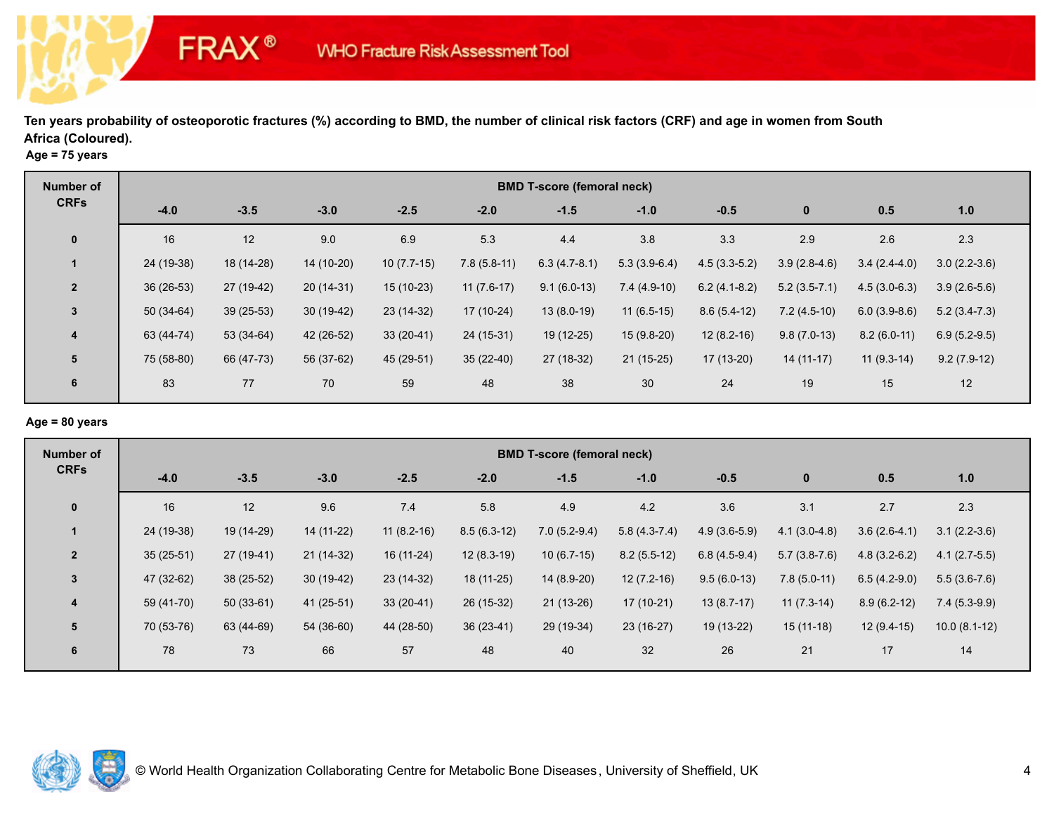|  |  |  | Age = $75$ years |
|--|--|--|------------------|
|--|--|--|------------------|

**FRAX®** 

| Number of      | <b>BMD T-score (femoral neck)</b> |             |             |              |               |                |                |                |                |                |                |  |
|----------------|-----------------------------------|-------------|-------------|--------------|---------------|----------------|----------------|----------------|----------------|----------------|----------------|--|
| <b>CRFs</b>    | $-4.0$                            | $-3.5$      | $-3.0$      | $-2.5$       | $-2.0$        | $-1.5$         | $-1.0$         | $-0.5$         | $\mathbf 0$    | 0.5            | 1.0            |  |
| $\mathbf 0$    | 16                                | 12          | 9.0         | 6.9          | 5.3           | 4.4            | 3.8            | 3.3            | 2.9            | 2.6            | 2.3            |  |
| $\mathbf 1$    | 24 (19-38)                        | 18 (14-28)  | 14 (10-20)  | $10(7.7-15)$ | $7.8(5.8-11)$ | $6.3(4.7-8.1)$ | $5.3(3.9-6.4)$ | $4.5(3.3-5.2)$ | $3.9(2.8-4.6)$ | $3.4(2.4-4.0)$ | $3.0(2.2-3.6)$ |  |
| $\overline{2}$ | $36(26-53)$                       | 27 (19-42)  | $20(14-31)$ | 15 (10-23)   | $11(7.6-17)$  | $9.1(6.0-13)$  | $7.4(4.9-10)$  | $6.2(4.1-8.2)$ | $5.2(3.5-7.1)$ | $4.5(3.0-6.3)$ | $3.9(2.6-5.6)$ |  |
| 3              | $50(34-64)$                       | $39(25-53)$ | $30(19-42)$ | 23 (14-32)   | 17 (10-24)    | $13(8.0-19)$   | $11(6.5-15)$   | $8.6(5.4-12)$  | $7.2(4.5-10)$  | $6.0(3.9-8.6)$ | $5.2(3.4-7.3)$ |  |
| $\overline{4}$ | 63 (44-74)                        | $53(34-64)$ | 42 (26-52)  | $33(20-41)$  | 24 (15-31)    | 19 (12-25)     | $15(9.8-20)$   | $12(8.2-16)$   | $9.8(7.0-13)$  | $8.2(6.0-11)$  | $6.9(5.2-9.5)$ |  |
| $5\phantom{1}$ | 75 (58-80)                        | 66 (47-73)  | 56 (37-62)  | 45 (29-51)   | $35(22-40)$   | 27 (18-32)     | $21(15-25)$    | 17 (13-20)     | $14(11-17)$    | $11(9.3-14)$   | $9.2(7.9-12)$  |  |
| 6              | 83                                | 77          | 70          | 59           | 48            | 38             | 30             | 24             | 19             | 15             | 12             |  |

# **Age = 80 years**

| Number of      | <b>BMD T-score (femoral neck)</b> |             |             |              |               |                |                |                |                |                |                |  |
|----------------|-----------------------------------|-------------|-------------|--------------|---------------|----------------|----------------|----------------|----------------|----------------|----------------|--|
| <b>CRFs</b>    | $-4.0$                            | $-3.5$      | $-3.0$      | $-2.5$       | $-2.0$        | $-1.5$         | $-1.0$         | $-0.5$         | $\bf{0}$       | 0.5            | 1.0            |  |
| $\mathbf 0$    | 16                                | 12          | 9.6         | 7.4          | 5.8           | 4.9            | 4.2            | 3.6            | 3.1            | 2.7            | 2.3            |  |
|                | 24 (19-38)                        | 19 (14-29)  | 14 (11-22)  | $11(8.2-16)$ | $8.5(6.3-12)$ | $7.0(5.2-9.4)$ | $5.8(4.3-7.4)$ | $4.9(3.6-5.9)$ | $4.1(3.0-4.8)$ | $3.6(2.6-4.1)$ | $3.1(2.2-3.6)$ |  |
| $\overline{2}$ | $35(25-51)$                       | $27(19-41)$ | $21(14-32)$ | 16 (11-24)   | $12(8.3-19)$  | $10(6.7-15)$   | $8.2(5.5-12)$  | $6.8(4.5-9.4)$ | $5.7(3.8-7.6)$ | $4.8(3.2-6.2)$ | $4.1(2.7-5.5)$ |  |
| 3              | 47 (32-62)                        | 38 (25-52)  | $30(19-42)$ | $23(14-32)$  | 18 (11-25)    | 14 (8.9-20)    | $12(7.2-16)$   | $9.5(6.0-13)$  | $7.8(5.0-11)$  | $6.5(4.2-9.0)$ | $5.5(3.6-7.6)$ |  |
| 4              | 59 (41-70)                        | $50(33-61)$ | $41(25-51)$ | $33(20-41)$  | 26 (15-32)    | $21(13-26)$    | $17(10-21)$    | $13(8.7-17)$   | $11(7.3-14)$   | $8.9(6.2-12)$  | $7.4(5.3-9.9)$ |  |
| 5              | 70 (53-76)                        | 63 (44-69)  | 54 (36-60)  | 44 (28-50)   | $36(23-41)$   | 29 (19-34)     | $23(16-27)$    | 19 (13-22)     | $15(11-18)$    | $12(9.4-15)$   | $10.0(8.1-12)$ |  |
| 6              | 78                                | 73          | 66          | 57           | 48            | 40             | 32             | 26             | 21             | 17             | 14             |  |